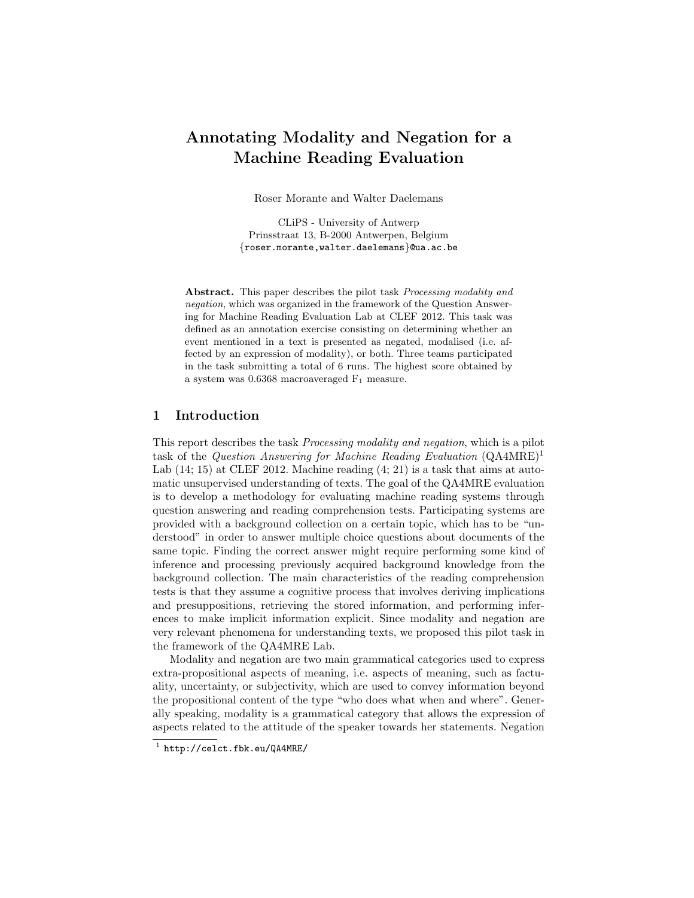# Annotating Modality and Negation for a Machine Reading Evaluation

Roser Morante and Walter Daelemans

CLiPS - University of Antwerp Prinsstraat 13, B-2000 Antwerpen, Belgium {roser.morante,walter.daelemans}@ua.ac.be

Abstract. This paper describes the pilot task Processing modality and negation, which was organized in the framework of the Question Answering for Machine Reading Evaluation Lab at CLEF 2012. This task was defined as an annotation exercise consisting on determining whether an event mentioned in a text is presented as negated, modalised (i.e. affected by an expression of modality), or both. Three teams participated in the task submitting a total of 6 runs. The highest score obtained by a system was  $0.6368$  macroaveraged  $F_1$  measure.

### 1 Introduction

This report describes the task Processing modality and negation, which is a pilot task of the *Question Answering for Machine Reading Evaluation*  $(QA4MRE)^1$ Lab  $(14; 15)$  at CLEF 2012. Machine reading  $(4; 21)$  is a task that aims at automatic unsupervised understanding of texts. The goal of the QA4MRE evaluation is to develop a methodology for evaluating machine reading systems through question answering and reading comprehension tests. Participating systems are provided with a background collection on a certain topic, which has to be "understood" in order to answer multiple choice questions about documents of the same topic. Finding the correct answer might require performing some kind of inference and processing previously acquired background knowledge from the background collection. The main characteristics of the reading comprehension tests is that they assume a cognitive process that involves deriving implications and presuppositions, retrieving the stored information, and performing inferences to make implicit information explicit. Since modality and negation are very relevant phenomena for understanding texts, we proposed this pilot task in the framework of the QA4MRE Lab.

Modality and negation are two main grammatical categories used to express extra-propositional aspects of meaning, i.e. aspects of meaning, such as factuality, uncertainty, or subjectivity, which are used to convey information beyond the propositional content of the type "who does what when and where". Generally speaking, modality is a grammatical category that allows the expression of aspects related to the attitude of the speaker towards her statements. Negation

<sup>1</sup> http://celct.fbk.eu/QA4MRE/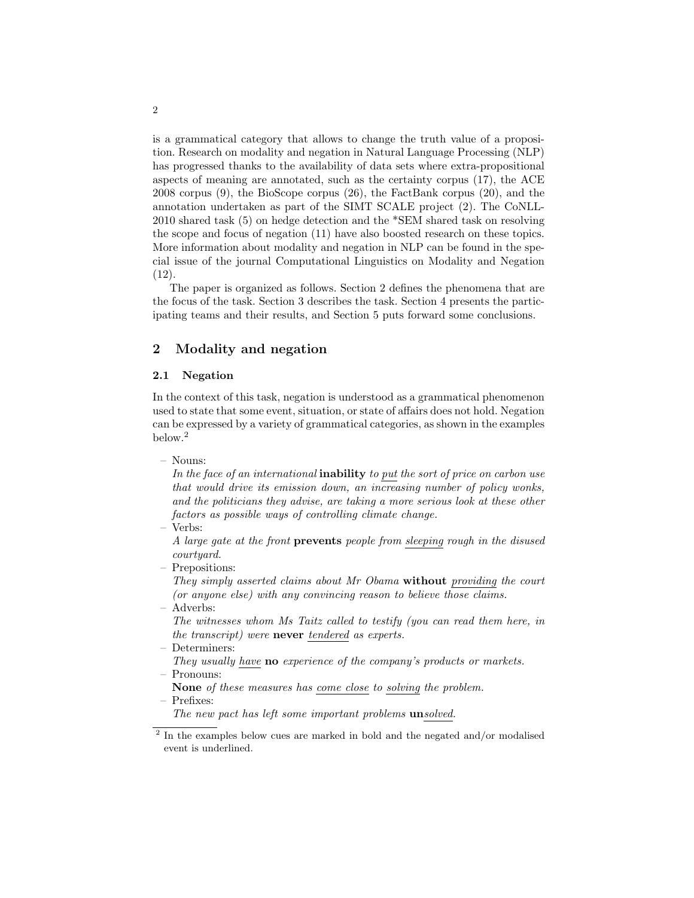is a grammatical category that allows to change the truth value of a proposition. Research on modality and negation in Natural Language Processing (NLP) has progressed thanks to the availability of data sets where extra-propositional aspects of meaning are annotated, such as the certainty corpus (17), the ACE 2008 corpus (9), the BioScope corpus (26), the FactBank corpus (20), and the annotation undertaken as part of the SIMT SCALE project (2). The CoNLL-2010 shared task (5) on hedge detection and the \*SEM shared task on resolving the scope and focus of negation (11) have also boosted research on these topics. More information about modality and negation in NLP can be found in the special issue of the journal Computational Linguistics on Modality and Negation (12).

The paper is organized as follows. Section 2 defines the phenomena that are the focus of the task. Section 3 describes the task. Section 4 presents the participating teams and their results, and Section 5 puts forward some conclusions.

### 2 Modality and negation

#### 2.1 Negation

In the context of this task, negation is understood as a grammatical phenomenon used to state that some event, situation, or state of affairs does not hold. Negation can be expressed by a variety of grammatical categories, as shown in the examples below.<sup>2</sup>

– Nouns:

In the face of an international **inability** to put the sort of price on carbon use that would drive its emission down, an increasing number of policy wonks, and the politicians they advise, are taking a more serious look at these other factors as possible ways of controlling climate change.

– Verbs:

A large gate at the front prevents people from sleeping rough in the disused courtyard.

– Prepositions:

They simply asserted claims about Mr Obama without providing the court (or anyone else) with any convincing reason to believe those claims.

– Adverbs:

The witnesses whom Ms Taitz called to testify (you can read them here, in the transcript) were never tendered as experts.

- Determiners:
- They usually have **no** experience of the company's products or markets. – Pronouns:
- None of these measures has come close to solving the problem.
- Prefixes:

The new pact has left some important problems unsolved.

 $2$  In the examples below cues are marked in bold and the negated and/or modalised event is underlined.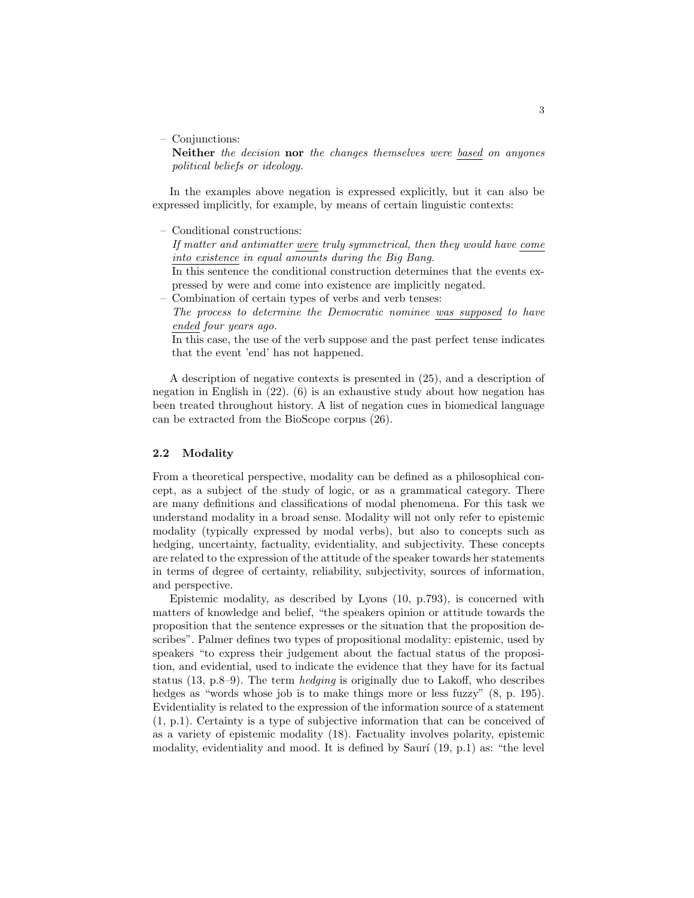– Conjunctions:

Neither the decision nor the changes themselves were based on anyones political beliefs or ideology.

In the examples above negation is expressed explicitly, but it can also be expressed implicitly, for example, by means of certain linguistic contexts:

– Conditional constructions:

If matter and antimatter were truly symmetrical, then they would have come into existence in equal amounts during the Big Bang.

In this sentence the conditional construction determines that the events expressed by were and come into existence are implicitly negated.

- Combination of certain types of verbs and verb tenses:
- The process to determine the Democratic nominee was supposed to have ended four years ago.

In this case, the use of the verb suppose and the past perfect tense indicates that the event 'end' has not happened.

A description of negative contexts is presented in (25), and a description of negation in English in (22). (6) is an exhaustive study about how negation has been treated throughout history. A list of negation cues in biomedical language can be extracted from the BioScope corpus (26).

#### 2.2 Modality

From a theoretical perspective, modality can be defined as a philosophical concept, as a subject of the study of logic, or as a grammatical category. There are many definitions and classifications of modal phenomena. For this task we understand modality in a broad sense. Modality will not only refer to epistemic modality (typically expressed by modal verbs), but also to concepts such as hedging, uncertainty, factuality, evidentiality, and subjectivity. These concepts are related to the expression of the attitude of the speaker towards her statements in terms of degree of certainty, reliability, subjectivity, sources of information, and perspective.

Epistemic modality, as described by Lyons (10, p.793), is concerned with matters of knowledge and belief, "the speakers opinion or attitude towards the proposition that the sentence expresses or the situation that the proposition describes". Palmer defines two types of propositional modality: epistemic, used by speakers "to express their judgement about the factual status of the proposition, and evidential, used to indicate the evidence that they have for its factual status (13, p.8–9). The term hedging is originally due to Lakoff, who describes hedges as "words whose job is to make things more or less fuzzy"  $(8, p. 195)$ . Evidentiality is related to the expression of the information source of a statement (1, p.1). Certainty is a type of subjective information that can be conceived of as a variety of epistemic modality (18). Factuality involves polarity, epistemic modality, evidentiality and mood. It is defined by Saurí  $(19, p.1)$  as: "the level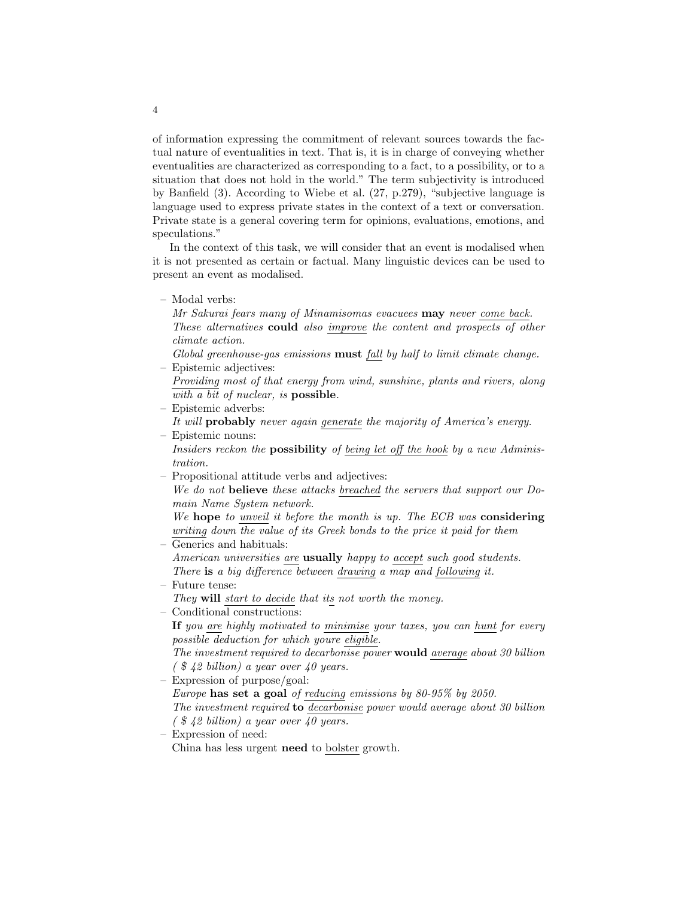of information expressing the commitment of relevant sources towards the factual nature of eventualities in text. That is, it is in charge of conveying whether eventualities are characterized as corresponding to a fact, to a possibility, or to a situation that does not hold in the world." The term subjectivity is introduced by Banfield (3). According to Wiebe et al. (27, p.279), "subjective language is language used to express private states in the context of a text or conversation. Private state is a general covering term for opinions, evaluations, emotions, and speculations."

In the context of this task, we will consider that an event is modalised when it is not presented as certain or factual. Many linguistic devices can be used to present an event as modalised.

– Modal verbs:

Mr Sakurai fears many of Minamisomas evacuees may never come back. These alternatives could also improve the content and prospects of other climate action.

- Global greenhouse-gas emissions must fall by half to limit climate change. – Epistemic adjectives:
- Providing most of that energy from wind, sunshine, plants and rivers, along with a bit of nuclear, is **possible**.
- Epistemic adverbs: It will probably never again generate the majority of America's energy. – Epistemic nouns:

Insiders reckon the possibility of being let off the hook by a new Administration.

– Propositional attitude verbs and adjectives:

We do not believe these attacks breached the servers that support our Domain Name System network.

We hope to unveil it before the month is up. The ECB was considering writing down the value of its Greek bonds to the price it paid for them – Generics and habituals:

- American universities are **usually** happy to accept such good students. There is a big difference between drawing a map and following it.
- Future tense: They will start to decide that its not worth the money.
- Conditional constructions:

If you are highly motivated to minimise your taxes, you can hunt for every possible deduction for which youre eligible.

The investment required to decarbonise power would average about 30 billion  $($  \$ 42 billion) a year over 40 years.

– Expression of purpose/goal:

Europe has set a goal of reducing emissions by 80-95% by 2050. The investment required to decarbonise power would average about 30 billion  $\int$  \$ 42 billion) a year over 40 years.

– Expression of need: China has less urgent need to bolster growth.

4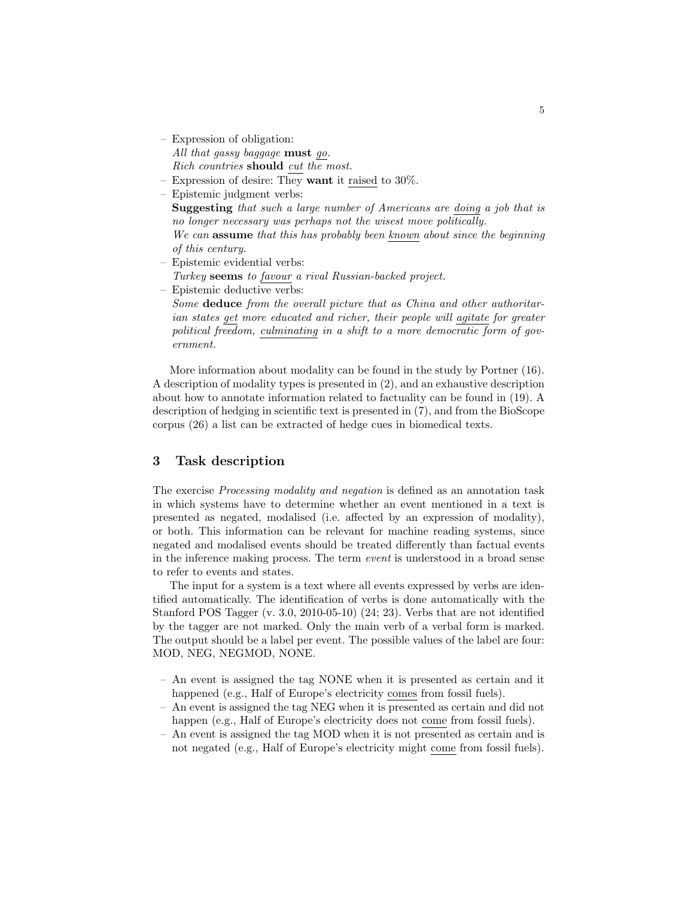- Expression of obligation: All that gassy baggage must go. Rich countries should cut the most.
- Expression of desire: They want it raised to 30%.
- Epistemic judgment verbs: Suggesting that such a large number of Americans are doing a job that is no longer necessary was perhaps not the wisest move politically. We can **assume** that this has probably been known about since the beginning of this century.
- Epistemic evidential verbs: Turkey seems to favour a rival Russian-backed project.
- Epistemic deductive verbs:

Some deduce from the overall picture that as China and other authoritarian states get more educated and richer, their people will agitate for greater political freedom, culminating in a shift to a more democratic form of government.

More information about modality can be found in the study by Portner (16). A description of modality types is presented in (2), and an exhaustive description about how to annotate information related to factuality can be found in (19). A description of hedging in scientific text is presented in (7), and from the BioScope corpus (26) a list can be extracted of hedge cues in biomedical texts.

### 3 Task description

The exercise Processing modality and negation is defined as an annotation task in which systems have to determine whether an event mentioned in a text is presented as negated, modalised (i.e. affected by an expression of modality), or both. This information can be relevant for machine reading systems, since negated and modalised events should be treated differently than factual events in the inference making process. The term event is understood in a broad sense to refer to events and states.

The input for a system is a text where all events expressed by verbs are identified automatically. The identification of verbs is done automatically with the Stanford POS Tagger (v. 3.0, 2010-05-10) (24; 23). Verbs that are not identified by the tagger are not marked. Only the main verb of a verbal form is marked. The output should be a label per event. The possible values of the label are four: MOD, NEG, NEGMOD, NONE.

- An event is assigned the tag NONE when it is presented as certain and it happened (e.g., Half of Europe's electricity comes from fossil fuels).
- An event is assigned the tag NEG when it is presented as certain and did not happen (e.g., Half of Europe's electricity does not come from fossil fuels).
- An event is assigned the tag MOD when it is not presented as certain and is not negated (e.g., Half of Europe's electricity might come from fossil fuels).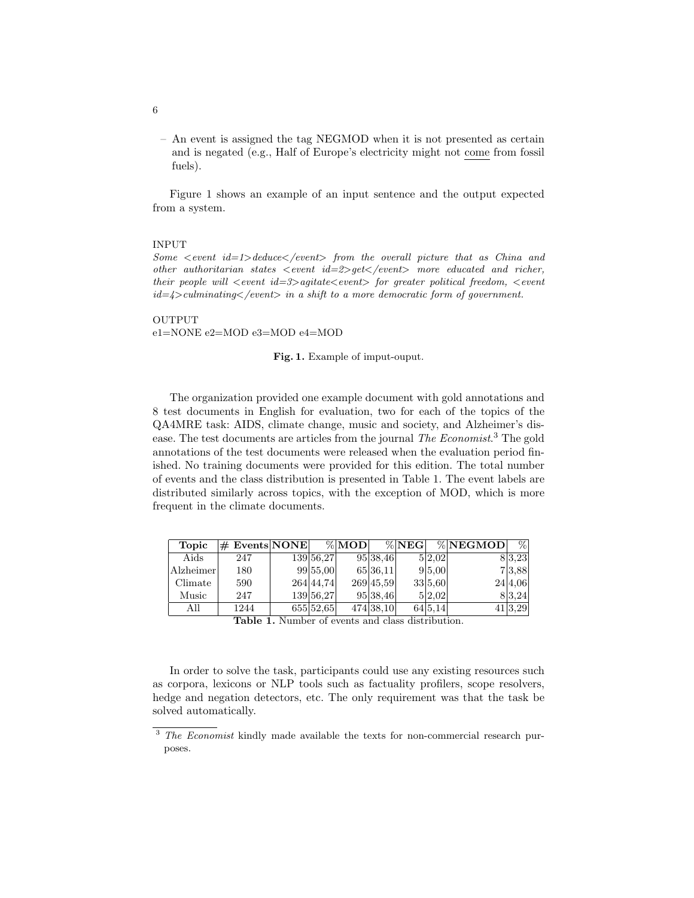– An event is assigned the tag NEGMOD when it is not presented as certain and is negated (e.g., Half of Europe's electricity might not come from fossil fuels).

Figure 1 shows an example of an input sentence and the output expected from a system.

#### INPUT

Some  $\le$  event id=1>deduce $\le$ /event> from the overall picture that as China and other authoritarian states  $\langle$  event id=2 $\rangle$ qet $\langle$ /event $\rangle$  more educated and richer, their people will  $\langle$  event id=3>agitate $\langle$  event> for greater political freedom,  $\langle$  event  $id = 4$ >culminating</event> in a shift to a more democratic form of government.

#### OUTPUT e1=NONE e2=MOD e3=MOD e4=MOD

Fig. 1. Example of imput-ouput.

The organization provided one example document with gold annotations and 8 test documents in English for evaluation, two for each of the topics of the QA4MRE task: AIDS, climate change, music and society, and Alzheimer's disease. The test documents are articles from the journal The Economist.<sup>3</sup> The gold annotations of the test documents were released when the evaluation period finished. No training documents were provided for this edition. The total number of events and the class distribution is presented in Table 1. The event labels are distributed similarly across topics, with the exception of MOD, which is more frequent in the climate documents.

| <b>Topic</b> | $\#$ Events NONE |           | $\% MOD $ |           | $\%$ NEG |         | % NEGMOD | $\%$    |
|--------------|------------------|-----------|-----------|-----------|----------|---------|----------|---------|
| Aids         | 247              | 139 56,27 |           | 95 38,46  |          | 5 2,02  |          | 8 3,23  |
| Alzheimer    | 180              | 99 55,00  |           | 65 36, 11 |          | 9 5,00  |          | 73.88   |
| Climate      | 590              | 264 44.74 |           | 269 45,59 |          | 33 5.60 |          | 24 4.06 |
| Music        | 247              | 139 56,27 |           | 95 38,46  |          | 5 2.02  |          | 83.24   |
| All          | 1244             | 655 52.65 |           | 474 38,10 |          | 64 5,14 |          | 41 3.29 |

Table 1. Number of events and class distribution.

In order to solve the task, participants could use any existing resources such as corpora, lexicons or NLP tools such as factuality profilers, scope resolvers, hedge and negation detectors, etc. The only requirement was that the task be solved automatically.

6

<sup>&</sup>lt;sup>3</sup> The Economist kindly made available the texts for non-commercial research purposes.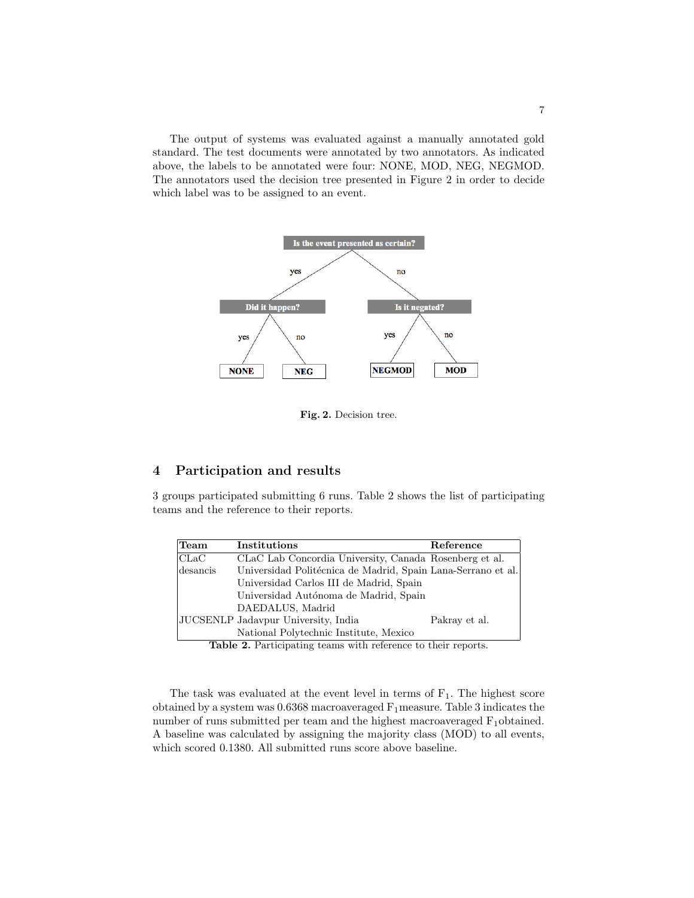The output of systems was evaluated against a manually annotated gold standard. The test documents were annotated by two annotators. As indicated above, the labels to be annotated were four: NONE, MOD, NEG, NEGMOD. The annotators used the decision tree presented in Figure 2 in order to decide which label was to be assigned to an event.



Fig. 2. Decision tree.

### 4 Participation and results

3 groups participated submitting 6 runs. Table 2 shows the list of participating teams and the reference to their reports.

| Team           | Institutions                                                 | Reference     |
|----------------|--------------------------------------------------------------|---------------|
| $ {\rm CLaC} $ | CLaC Lab Concordia University, Canada Rosenberg et al.       |               |
| desancis       | Universidad Politécnica de Madrid, Spain Lana-Serrano et al. |               |
|                | Universidad Carlos III de Madrid, Spain                      |               |
|                | Universidad Autónoma de Madrid, Spain                        |               |
|                | DAEDALUS, Madrid                                             |               |
|                | JUCSENLP Jadavpur University, India                          | Pakray et al. |
|                | National Polytechnic Institute, Mexico                       |               |

Table 2. Participating teams with reference to their reports.

The task was evaluated at the event level in terms of  $F_1$ . The highest score obtained by a system was  $0.6368$  macroaveraged  $F_1$  measure. Table 3 indicates the number of runs submitted per team and the highest macroaveraged  $F_1$ obtained. A baseline was calculated by assigning the majority class (MOD) to all events, which scored 0.1380. All submitted runs score above baseline.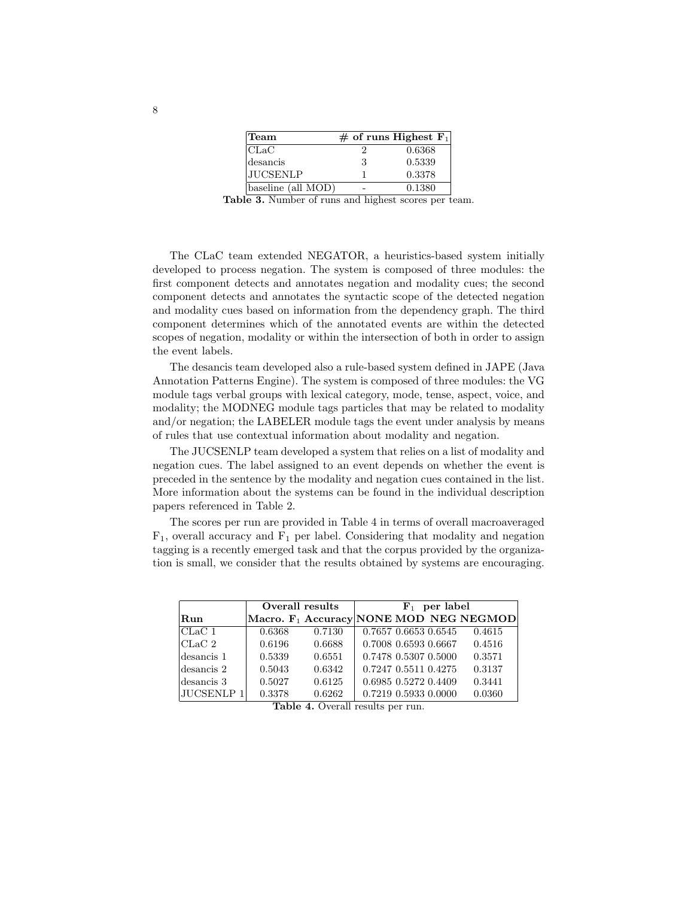| Team               |   | $#$ of runs Highest $F_1$ |
|--------------------|---|---------------------------|
| CLaC               |   | 0.6368                    |
| desancis           | 3 | 0.5339                    |
| <b>JUCSENLP</b>    |   | 0.3378                    |
| baseline (all MOD) |   | 0.1380                    |

Table 3. Number of runs and highest scores per team.

The CLaC team extended NEGATOR, a heuristics-based system initially developed to process negation. The system is composed of three modules: the first component detects and annotates negation and modality cues; the second component detects and annotates the syntactic scope of the detected negation and modality cues based on information from the dependency graph. The third component determines which of the annotated events are within the detected scopes of negation, modality or within the intersection of both in order to assign the event labels.

The desancis team developed also a rule-based system defined in JAPE (Java Annotation Patterns Engine). The system is composed of three modules: the VG module tags verbal groups with lexical category, mode, tense, aspect, voice, and modality; the MODNEG module tags particles that may be related to modality and/or negation; the LABELER module tags the event under analysis by means of rules that use contextual information about modality and negation.

The JUCSENLP team developed a system that relies on a list of modality and negation cues. The label assigned to an event depends on whether the event is preceded in the sentence by the modality and negation cues contained in the list. More information about the systems can be found in the individual description papers referenced in Table 2.

The scores per run are provided in Table 4 in terms of overall macroaveraged  $F_1$ , overall accuracy and  $F_1$  per label. Considering that modality and negation tagging is a recently emerged task and that the corpus provided by the organization is small, we consider that the results obtained by systems are encouraging.

|             | Overall results | $\mathbf{F}_1$ per label |                      |                      |  |                                                    |
|-------------|-----------------|--------------------------|----------------------|----------------------|--|----------------------------------------------------|
| Run         |                 |                          |                      |                      |  | Macro. F <sub>1</sub> Accuracy NONE MOD NEG NEGMOD |
| CLaC 1      | 0.6368          | 0.7130                   | 0.7657 0.6653 0.6545 |                      |  | 0.4615                                             |
| CLaC 2      | 0.6196          | 0.6688                   | 0.7008 0.6593 0.6667 |                      |  | 0.4516                                             |
| ldesancis 1 | 0.5339          | 0.6551                   |                      | 0.7478 0.5307 0.5000 |  | 0.3571                                             |
| desancis 2  | 0.5043          | 0.6342                   |                      | 0.7247 0.5511 0.4275 |  | 0.3137                                             |
| desancis 3  | 0.5027          | 0.6125                   |                      | 0.6985 0.5272 0.4409 |  | 0.3441                                             |
| JUCSENLP 1  | 0.3378          | 0.6262                   |                      | 0.7219 0.5933 0.0000 |  | 0.0360                                             |

Table 4. Overall results per run.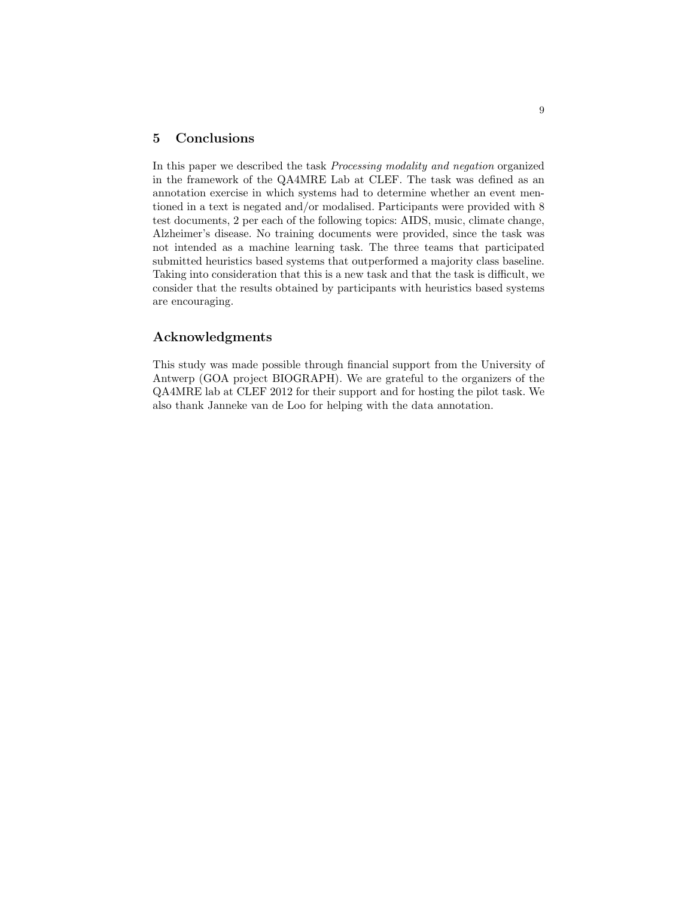### 5 Conclusions

In this paper we described the task Processing modality and negation organized in the framework of the QA4MRE Lab at CLEF. The task was defined as an annotation exercise in which systems had to determine whether an event mentioned in a text is negated and/or modalised. Participants were provided with 8 test documents, 2 per each of the following topics: AIDS, music, climate change, Alzheimer's disease. No training documents were provided, since the task was not intended as a machine learning task. The three teams that participated submitted heuristics based systems that outperformed a majority class baseline. Taking into consideration that this is a new task and that the task is difficult, we consider that the results obtained by participants with heuristics based systems are encouraging.

### Acknowledgments

This study was made possible through financial support from the University of Antwerp (GOA project BIOGRAPH). We are grateful to the organizers of the QA4MRE lab at CLEF 2012 for their support and for hosting the pilot task. We also thank Janneke van de Loo for helping with the data annotation.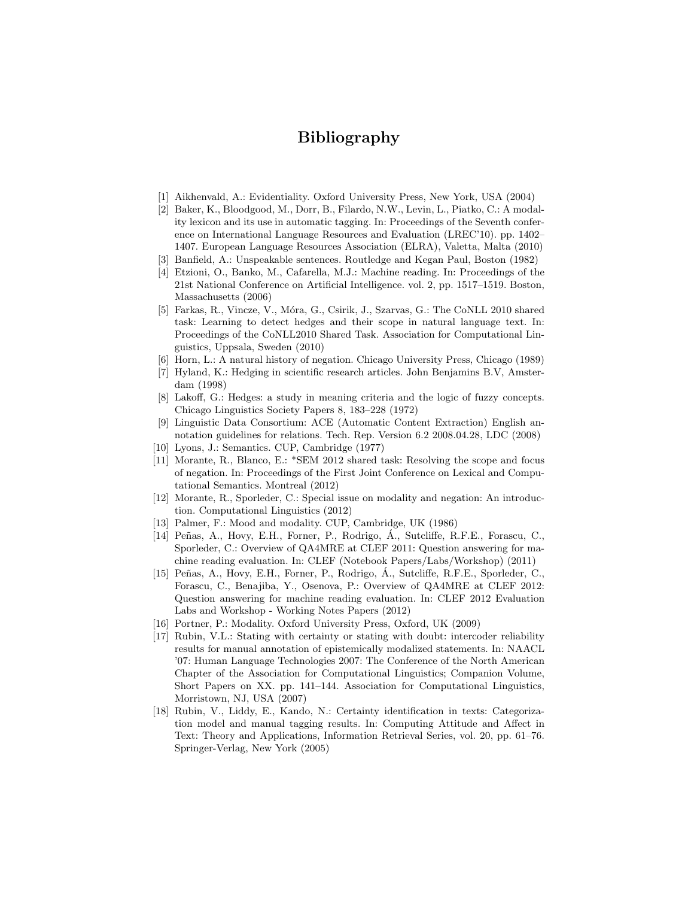## Bibliography

- [1] Aikhenvald, A.: Evidentiality. Oxford University Press, New York, USA (2004)
- [2] Baker, K., Bloodgood, M., Dorr, B., Filardo, N.W., Levin, L., Piatko, C.: A modality lexicon and its use in automatic tagging. In: Proceedings of the Seventh conference on International Language Resources and Evaluation (LREC'10). pp. 1402– 1407. European Language Resources Association (ELRA), Valetta, Malta (2010)
- [3] Banfield, A.: Unspeakable sentences. Routledge and Kegan Paul, Boston (1982)
- [4] Etzioni, O., Banko, M., Cafarella, M.J.: Machine reading. In: Proceedings of the 21st National Conference on Artificial Intelligence. vol. 2, pp. 1517–1519. Boston, Massachusetts (2006)
- [5] Farkas, R., Vincze, V., Móra, G., Csirik, J., Szarvas, G.: The CoNLL 2010 shared task: Learning to detect hedges and their scope in natural language text. In: Proceedings of the CoNLL2010 Shared Task. Association for Computational Linguistics, Uppsala, Sweden (2010)
- [6] Horn, L.: A natural history of negation. Chicago University Press, Chicago (1989)
- [7] Hyland, K.: Hedging in scientific research articles. John Benjamins B.V, Amsterdam (1998)
- [8] Lakoff, G.: Hedges: a study in meaning criteria and the logic of fuzzy concepts. Chicago Linguistics Society Papers 8, 183–228 (1972)
- [9] Linguistic Data Consortium: ACE (Automatic Content Extraction) English annotation guidelines for relations. Tech. Rep. Version 6.2 2008.04.28, LDC (2008)
- [10] Lyons, J.: Semantics. CUP, Cambridge (1977)
- [11] Morante, R., Blanco, E.: \*SEM 2012 shared task: Resolving the scope and focus of negation. In: Proceedings of the First Joint Conference on Lexical and Computational Semantics. Montreal (2012)
- [12] Morante, R., Sporleder, C.: Special issue on modality and negation: An introduction. Computational Linguistics (2012)
- [13] Palmer, F.: Mood and modality. CUP, Cambridge, UK (1986)
- [14] Peñas, A., Hovy, E.H., Forner, P., Rodrigo, Á., Sutcliffe, R.F.E., Forascu, C., Sporleder, C.: Overview of QA4MRE at CLEF 2011: Question answering for machine reading evaluation. In: CLEF (Notebook Papers/Labs/Workshop) (2011)
- [15] Peñas, A., Hovy, E.H., Forner, P., Rodrigo, Á., Sutcliffe, R.F.E., Sporleder, C. Forascu, C., Benajiba, Y., Osenova, P.: Overview of QA4MRE at CLEF 2012: Question answering for machine reading evaluation. In: CLEF 2012 Evaluation Labs and Workshop - Working Notes Papers (2012)
- [16] Portner, P.: Modality. Oxford University Press, Oxford, UK (2009)
- [17] Rubin, V.L.: Stating with certainty or stating with doubt: intercoder reliability results for manual annotation of epistemically modalized statements. In: NAACL '07: Human Language Technologies 2007: The Conference of the North American Chapter of the Association for Computational Linguistics; Companion Volume, Short Papers on XX. pp. 141–144. Association for Computational Linguistics, Morristown, NJ, USA (2007)
- [18] Rubin, V., Liddy, E., Kando, N.: Certainty identification in texts: Categorization model and manual tagging results. In: Computing Attitude and Affect in Text: Theory and Applications, Information Retrieval Series, vol. 20, pp. 61–76. Springer-Verlag, New York (2005)